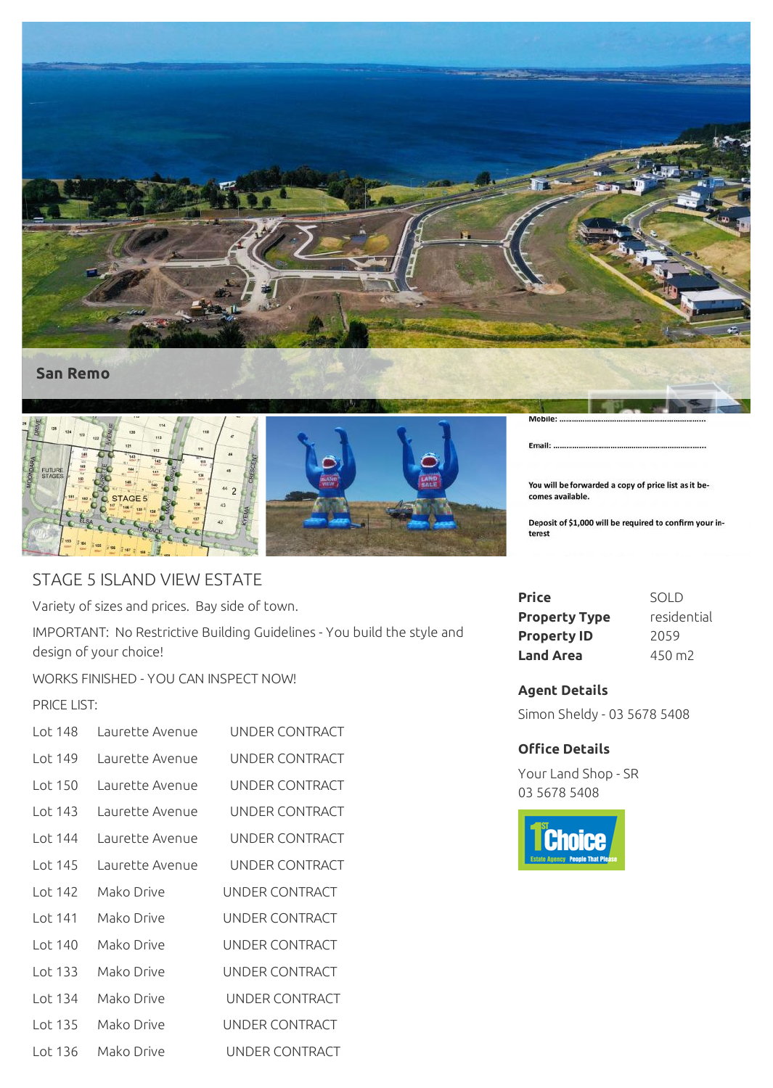



## STAGE 5 ISLAND VIEW ESTATE

Variety of sizes and prices. Bay side of town.

IMPORTANT: No Restrictive Building Guidelines - You build the style and design of your choice!

WORKS FINISHED - YOU CAN INSPECT NOW!

## PRICE LIST:

| l ot 148 | Laurette Avenue | UNDER CONTRACT        |
|----------|-----------------|-----------------------|
| l ot 149 | Laurette Avenue | UNDER CONTRACT        |
| Lot 150  | Laurette Avenue | UNDER CONTRACT        |
| Lot 143  | Laurette Avenue | UNDER CONTRACT        |
| l ot 144 | Laurette Avenue | UNDER CONTRACT        |
| l ot 145 | Laurette Avenue | UNDER CONTRACT        |
| Lot 142  | Mako Drive      | UNDER CONTRACT        |
| Lot 141  | Mako Drive      | UNDER CONTRACT        |
| Lot 140  | Mako Drive      | UNDER CONTRACT        |
| Lot 133  | Mako Drive      | UNDER CONTRACT        |
| Lot 134  | Mako Drive      | UNDER CONTRACT        |
| Lot 135  | Mako Drive      | <b>UNDER CONTRACT</b> |
| Lot 136  | Mako Drive      | UNDER CONTRACT        |

You will be forwarded a copy of price list as it becomes available.

Deposit of \$1,000 will be required to confirm your interest

| Price                | <b>SOLD</b>     |
|----------------------|-----------------|
| <b>Property Type</b> | residential     |
| <b>Property ID</b>   | 2059            |
| Land Area            | $450 \text{ m}$ |

## **Agent Details**

Email:

Simon Sheldy - 03 5678 5408

## **Office Details**

Your Land Shop - SR 03 5678 5408